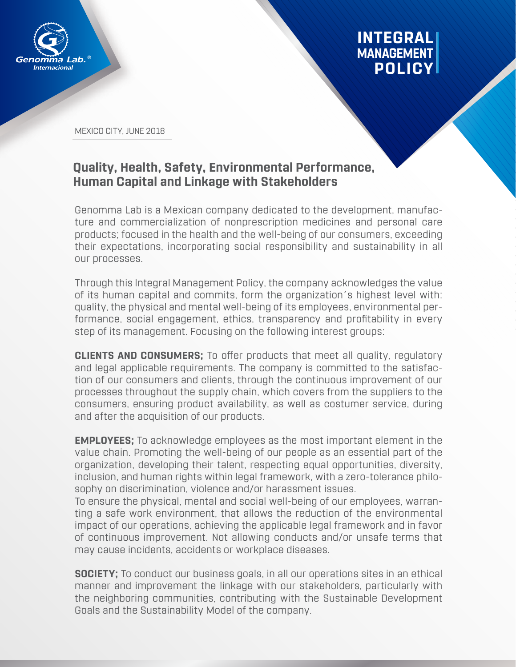

## **INTEGRAL MANAGEMENT POLICY**

MEXICO CITY, JUNE 2018

## **Quality, Health, Safety, Environmental Performance, Human Capital and Linkage with Stakeholders**

Genomma Lab is a Mexican company dedicated to the development, manufacture and commercialization of nonprescription medicines and personal care products; focused in the health and the well-being of our consumers, exceeding their expectations, incorporating social responsibility and sustainability in all our processes.

Through this Integral Management Policy, the company acknowledges the value of its human capital and commits, form the organization´s highest level with: quality, the physical and mental well-being of its employees, environmental performance, social engagement, ethics, transparency and profitability in every step of its management. Focusing on the following interest groups:

**CLIENTS AND CONSUMERS;** To offer products that meet all quality, regulatory and legal applicable requirements. The company is committed to the satisfaction of our consumers and clients, through the continuous improvement of our processes throughout the supply chain, which covers from the suppliers to the consumers, ensuring product availability, as well as costumer service, during and after the acquisition of our products.

**EMPLOYEES;** To acknowledge employees as the most important element in the value chain. Promoting the well-being of our people as an essential part of the organization, developing their talent, respecting equal opportunities, diversity, inclusion, and human rights within legal framework, with a zero-tolerance philosophy on discrimination, violence and/or harassment issues.

To ensure the physical, mental and social well-being of our employees, warranting a safe work environment, that allows the reduction of the environmental impact of our operations, achieving the applicable legal framework and in favor of continuous improvement. Not allowing conducts and/or unsafe terms that may cause incidents, accidents or workplace diseases.

**SOCIETY;** To conduct our business goals, in all our operations sites in an ethical manner and improvement the linkage with our stakeholders, particularly with the neighboring communities, contributing with the Sustainable Development Goals and the Sustainability Model of the company.